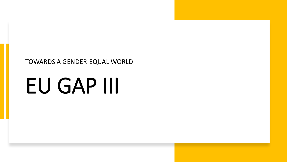#### TOWARDS A GENDER-EQUAL WORLD

# EU GAP III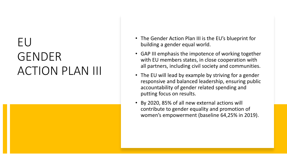# EU GENDER ACTION PLAN III

- The Gender Action Plan III is the EU's blueprint for building a gender equal world.
- GAP III emphasis the impotence of working together with EU members states, in close cooperation with all partners, including civil society and communities.
- The EU will lead by example by striving for a gender responsive and balanced leadership, ensuring public accountability of gender related spending and putting focus on results.
- By 2020, 85% of all new external actions will contribute to gender equality and promotion of women's empowerment (baseline 64,25% in 2019).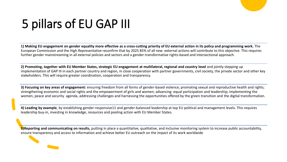# 5 pillars of EU GAP III

**1) Making EU engagement on gender equality more effective as a cross-cutting priority of EU external action in its policy and programming work.** The European Commission and the High Representative reconfirm that by 2025 85% of all new external actions will contribute to this objective. This requires further gender mainstreaming in all external policies and sectors and a gender-transformative rights-based and intersectional approach.

**2) Promoting, together with EU Member States, strategic EU engagement at multilateral, regional and country level** and jointly stepping up implementation of GAP III in each partner country and region, in close cooperation with partner governments, civil society, the private sector and other key stakeholders. This will require greater coordination, cooperation and transparency.

**3) Focusing on key areas of engagement:** ensuring freedom from all forms of gender-based violence; promoting sexual and reproductive health and rights; strengthening economic and social rights and the empowerment of girls and women; advancing equal participation and leadership; implementing the women, peace and security agenda, addressing challenges and harnessing the opportunities offered by the green transition and the digital transformation.

**4) Leading by example**, by establishing gender-responsive11 and gender-balanced leadership at top EU political and management levels. This requires leadership buy-in, investing in knowledge, resources and pooling action with EU Member States.

**5)Reporting and communicating on results,** putting in place a quantitative, qualitative, and inclusive monitoring system to increase public accountability, ensure transparency and access to information and achieve better EU outreach on the impact of its work worldwide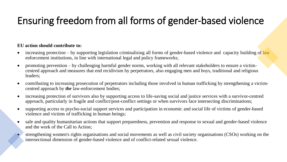# Ensuring freedom from all forms of gender-based violence

- increasing protection by supporting legislation criminalising all forms of gender-based violence and capacity building of law enforcement institutions, in line with international legal and policy frameworks;
- promoting prevention by challenging harmful gender norms, working with all relevant stakeholders to ensure a victimcentred approach and measures that end recidivism by perpetrators, also engaging men and boys, traditional and religious leaders;
- contributing to increasing prosecution of perpetrators including those involved in human trafficking by strengthening a victimcentred approach by *the* law-enforcement bodies;
- increasing protection of survivors also by supporting access to life-saving social and justice services with a survivor-centred approach, particularly in fragile and conflict/post-conflict settings or when survivors face intersecting discriminations;
- supporting access to psycho-social support services and participation in economic and social life of victims of gender-based violence and victims of trafficking in human beings;
- safe and quality humanitarian actions that support preparedness, prevention and response to sexual and gender-based violence and the work of the Call to Action;
- strengthening women's rights organisations and social movements as well as civil society organisations (CSOs) working on the intersectional dimension of gender-based violence and of conflict-related sexual violence.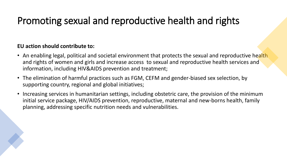### Promoting sexual and reproductive health and rights

- An enabling legal, political and societal environment that protects the sexual and reproductive health and rights of women and girls and increase access to sexual and reproductive health services and information, including HIV&AIDS prevention and treatment;
- The elimination of harmful practices such as FGM, CEFM and gender-biased sex selection, by supporting country, regional and global initiatives;
- Increasing services in humanitarian settings, including obstetric care, the provision of the minimum initial service package, HIV/AIDS prevention, reproductive, maternal and new-borns health, family planning, addressing specific nutrition needs and vulnerabilities.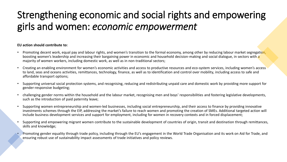# Strengthening economic and social rights and empowering girls and women: *economic empowerment*

- Promoting decent work, equal pay and labour rights, and women's transition to the formal economy, among other by reducing labour market segregation, boosting women's leadership and increasing their bargaining power in economic and household decision-making and social dialogue, in sectors with a majority of women workers, including domestic work, as well as in non-traditional sectors;
- Creating an enabling environment for women's economic activities and access to productive resources and eco-system services, including women's access to land, seas and oceans activities, remittances, technology, finance, as well as to identification and control over mobility, including access to safe and affordable transport options;
- Supporting universal social protection systems, and recognising, reducing and redistributing unpaid care and domestic work by providing more support for gender-responsive budgeting;
- challenging gender norms within the household and the labour market, recognising men and boys' responsibilities and fostering legislative developments, such as the introduction of paid paternity leave;
- Supporting women entrepreneurship and women-led businesses, including social entrepreneurship, and their access to finance by providing innovative investments schemes through the EIP, addressing the market's failure to reach women and promoting the creation of SMEs. Additional targeted action will include business development services and support for employment, including for women in recovery contexts and in forced displacement;
- Supporting and empowering migrant women contribute to the sustainable development of countries of origin, transit and destination through remittances, skills and knowledge;
- Promoting gender equality through trade policy, including through the EU's engagement in the World Trade Organisation and its work on Aid for Trade, and ensuring robust use of sustainability impact assessments of trade initiatives and policy reviews.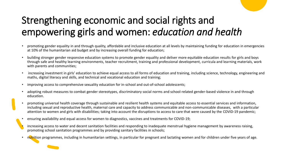# Strengthening economic and social rights and empowering girls and women: *education and health*

- promoting gender equality in and through quality, affordable and inclusive education at all levels by maintaining funding for education in emergencies at 10% of the humanitarian aid budget and by increasing overall funding for education;
- building stronger gender responsive education systems to promote gender equality and deliver more equitable education results for girls and boys through safe and healthy learning environments, teacher recruitment, training and professional development, curricula and learning materials, work with parents and communities;
- increasing investment in girls' education to achieve equal access to all forms of education and training, including science, technology, engineering and maths, digital literacy and skills, and technical and vocational education and training;
- improving access to comprehensive sexuality education for in-school and out-of-school adolescents;
- adopting robust measures to combat gender stereotypes, discriminatory social norms and school-related gender-based violence in and through education.
- promoting universal health coverage through sustainable and resilient health systems and equitable access to essential services and information, including sexual and reproductive health, maternal care and capacity to address communicable and non-communicable diseases, with a particular attention to women and girls with disabilities; taking into account the disruptions to access to care that were caused by the COVID-19 pandemic;
- ensuring availability and equal access for women to diagnostics, vaccines and treatments for COVID-19;
	- increasing access to water and decent sanitation facilities and responding to inadequate menstrual hygiene management by awareness raising, promoting school sanitation programmes and by providing sanitary facilities in schools;
- nutrition programmes, including in humanitarian settings, in particular for pregnant and lactating women and for children under five years of age.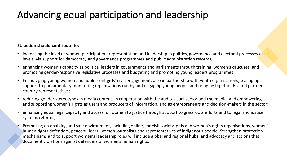# Advancing equal participation and leadership

- increasing the level of women participation, representation and leadership in politics, governance and electoral processes at all levels, via support for democracy and governance programmes and public administration reforms;
- enhancing women's capacity as political leaders in governments and parliaments through training, women's caucuses, and promoting gender-responsive legislative processes and budgeting and promoting young leaders programmes;
- Encouraging young women and adolescent girls' civic engagement, also in partnership with youth organisations, scaling up support to parliamentary monitoring organisations run by and engaging young people and bringing together EU and partner country representatives;
- reducing gender stereotypes in media content, in cooperation with the audio-visual sector and the media, and empowering and supporting women's rights as users and producers of information, and as entrepreneurs and decision-makers in the sector;
- enhancing equal legal capacity and access for women to justice through support to grassroots efforts and to legal and justice systems reforms;
- Promoting an enabling and safe environment, including online, for civil society, girls and women's rights organisations, women's human rights defenders, peacebuilders, women journalists and representatives of indigenous people. Strengthen protection mechanisms and to support women's leadership roles will include global and regional hubs, and advocacy and actions that document violations against defenders of women's human rights.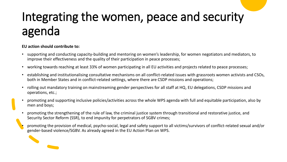# Integrating the women, peace and security agenda

- supporting and conducting capacity-building and mentoring on women's leadership, for women negotiators and mediators, to improve their effectiveness and the quality of their participation in peace processes;
- working towards reaching at least 33% of women participating in all EU activities and projects related to peace processes;
- establishing and institutionalising consultative mechanisms on all conflict-related issues with grassroots women activists and CSOs, both in Member States and in conflict-related settings, where there are CSDP missions and operations;
- rolling out mandatory training on mainstreaming gender perspectives for all staff at HQ, EU delegations, CSDP missions and operations, etc.;
- promoting and supporting inclusive policies/activities across the whole WPS agenda with full and equitable participation, also by men and boys;
- promoting the strengthening of the rule of law, the criminal justice system through transitional and restorative justice, and Security Sector Reform (SSR), to end impunity for perpetrators of SGBV crimes;
- promoting the provision of medical, psycho-social, legal and safety support to all victims/survivors of conflict-related sexual and/or gender-based violence/SGBV. As already agreed in the EU Action Plan on WPS.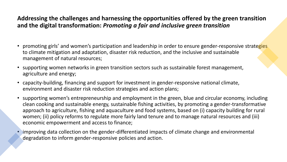#### **Addressing the challenges and harnessing the opportunities offered by the green transition and the digital transformation:** *Promoting a fair and inclusive green transition*

- promoting girls' and women's participation and leadership in order to ensure gender-responsive strategies to climate mitigation and adaptation, disaster risk reduction, and the inclusive and sustainable management of natural resources;
- supporting women networks in green transition sectors such as sustainable forest management, agriculture and energy;
- capacity-building, financing and support for investment in gender-responsive national climate, environment and disaster risk reduction strategies and action plans;
- supporting women's entrepreneurship and employment in the green, blue and circular economy, including clean cooking and sustainable energy, sustainable fishing activities, by promoting a gender-transformative approach to agriculture, fishing and aquaculture and food systems, based on (i) capacity building for rural women; (ii) policy reforms to regulate more fairly land tenure and to manage natural resources and (iii) economic empowerment and access to finance;
- improving data collection on the gender-differentiated impacts of climate change and environmental degradation to inform gender-responsive policies and action.